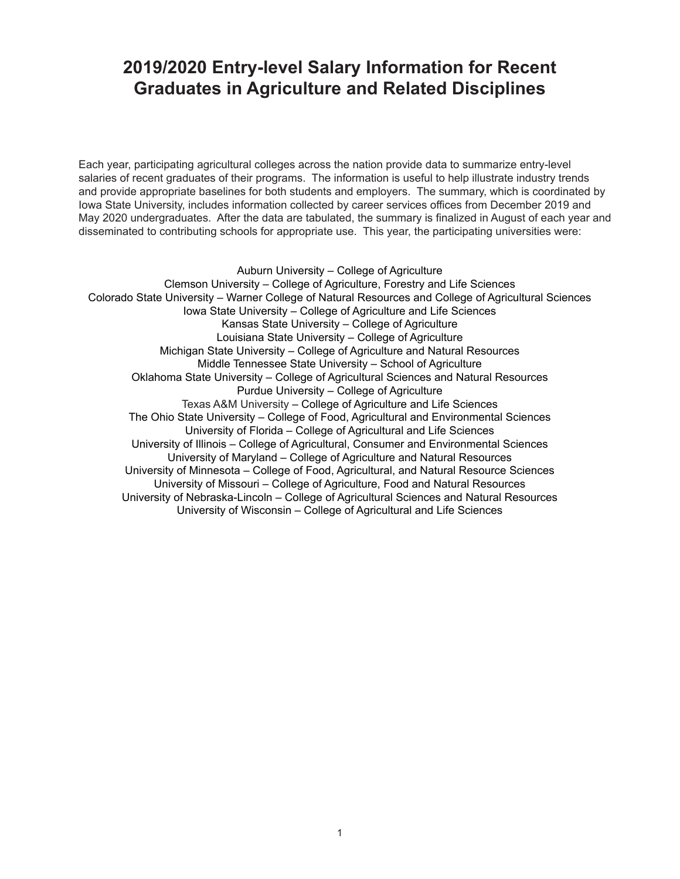# **2019/2020 Entry-level Salary Information for Recent Graduates in Agriculture and Related Disciplines**

Each year, participating agricultural colleges across the nation provide data to summarize entry-level salaries of recent graduates of their programs. The information is useful to help illustrate industry trends and provide appropriate baselines for both students and employers. The summary, which is coordinated by Iowa State University, includes information collected by career services offices from December 2019 and May 2020 undergraduates. After the data are tabulated, the summary is finalized in August of each year and disseminated to contributing schools for appropriate use. This year, the participating universities were:

Auburn University – College of Agriculture Clemson University – College of Agriculture, Forestry and Life Sciences Colorado State University – Warner College of Natural Resources and College of Agricultural Sciences Iowa State University – College of Agriculture and Life Sciences Kansas State University – College of Agriculture Louisiana State University – College of Agriculture Michigan State University – College of Agriculture and Natural Resources Middle Tennessee State University – School of Agriculture Oklahoma State University – College of Agricultural Sciences and Natural Resources Purdue University – College of Agriculture Texas A&M University – College of Agriculture and Life Sciences The Ohio State University – College of Food, Agricultural and Environmental Sciences University of Florida – College of Agricultural and Life Sciences University of Illinois – College of Agricultural, Consumer and Environmental Sciences University of Maryland – College of Agriculture and Natural Resources University of Minnesota – College of Food, Agricultural, and Natural Resource Sciences University of Missouri – College of Agriculture, Food and Natural Resources University of Nebraska-Lincoln – College of Agricultural Sciences and Natural Resources University of Wisconsin – College of Agricultural and Life Sciences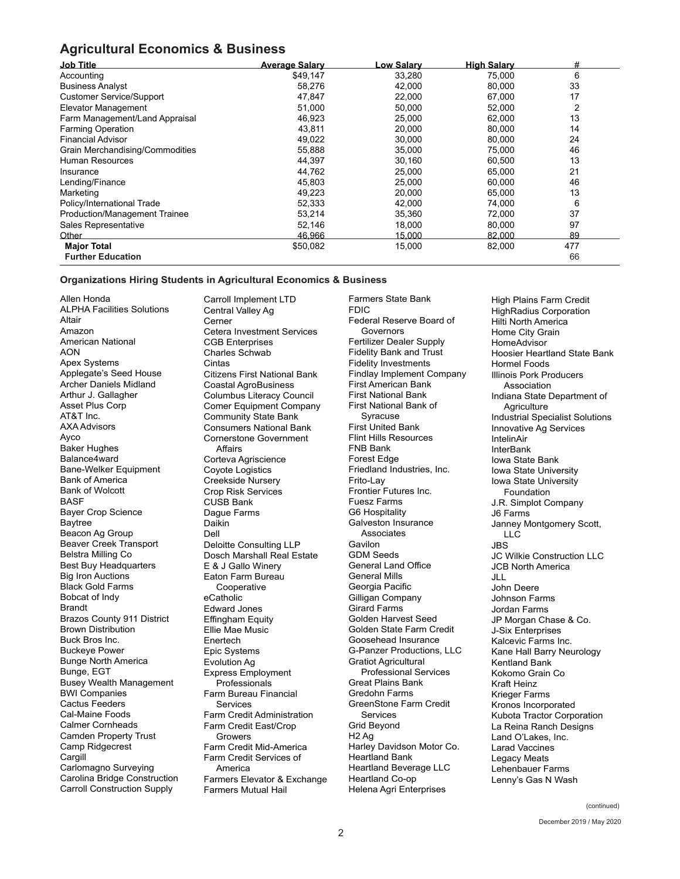## **Agricultural Economics & Business**

| <b>Job Title</b>                     | <b>Average Salary</b> | <u>-ow Salarv</u> | <b>High Salary</b> | #   |
|--------------------------------------|-----------------------|-------------------|--------------------|-----|
| Accounting                           | \$49,147              | 33,280            | 75,000             | 6   |
| <b>Business Analyst</b>              | 58,276                | 42,000            | 80,000             | 33  |
| <b>Customer Service/Support</b>      | 47,847                | 22,000            | 67,000             | 17  |
| <b>Elevator Management</b>           | 51,000                | 50,000            | 52,000             | 2   |
| Farm Management/Land Appraisal       | 46,923                | 25,000            | 62,000             | 13  |
| <b>Farming Operation</b>             | 43,811                | 20,000            | 80,000             | 14  |
| <b>Financial Advisor</b>             | 49,022                | 30,000            | 80,000             | 24  |
| Grain Merchandising/Commodities      | 55.888                | 35,000            | 75,000             | 46  |
| <b>Human Resources</b>               | 44,397                | 30,160            | 60,500             | 13  |
| Insurance                            | 44,762                | 25,000            | 65,000             | 21  |
| Lending/Finance                      | 45,803                | 25,000            | 60,000             | 46  |
| Marketing                            | 49,223                | 20,000            | 65,000             | 13  |
| Policy/International Trade           | 52,333                | 42,000            | 74,000             | 6   |
| <b>Production/Management Trainee</b> | 53,214                | 35,360            | 72,000             | 37  |
| Sales Representative                 | 52,146                | 18,000            | 80,000             | 97  |
| Other                                | 46,966                | 15,000            | 82,000             | 89  |
| <b>Major Total</b>                   | \$50,082              | 15,000            | 82,000             | 477 |
| <b>Further Education</b>             |                       |                   |                    | 66  |

### **Organizations Hiring Students in Agricultural Economics & Business**

Allen Honda ALPHA Facilities Solutions Altair Amazon American National AON Apex Systems Applegate's Seed House Archer Daniels Midland Arthur J. Gallagher Asset Plus Corp AT&T Inc. AXA Advisors Ayco Baker Hughes Balance4ward Bane-Welker Equipment Bank of America Bank of Wolcott BASF Bayer Crop Science Baytree Beacon Ag Group Beaver Creek Transport Belstra Milling Co Best Buy Headquarters Big Iron Auctions Black Gold Farms Bobcat of Indy Brandt Brazos County 911 District Brown Distribution Buck Bros Inc. Buckeye Power Bunge North America Bunge, EGT Busey Wealth Management BWI Companies Cactus Feeders Cal-Maine Foods Calmer Cornheads Camden Property Trust Camp Ridgecrest **Cargill** Carlomagno Surveying Carolina Bridge Construction Carroll Construction Supply

Carroll Implement LTD Central Valley Ag Cerner Cetera Investment Services CGB Enterprises Charles Schwab Cintas Citizens First National Bank Coastal AgroBusiness Columbus Literacy Council Comer Equipment Company Community State Bank Consumers National Bank Cornerstone Government Affairs Corteva Agriscience Coyote Logistics Creekside Nursery Crop Risk Services CUSB Bank Dague Farms Daikin Dell Deloitte Consulting LLP Dosch Marshall Real Estate E & J Gallo Winery Eaton Farm Bureau **Cooperative** eCatholic Edward Jones Effingham Equity Ellie Mae Music Enertech Epic Systems Evolution Ag Express Employment **Professionals** Farm Bureau Financial Services Farm Credit Administration Farm Credit East/Crop Growers Farm Credit Mid-America Farm Credit Services of America Farmers Elevator & Exchange Farmers Mutual Hail

Farmers State Bank FDIC Federal Reserve Board of Governors Fertilizer Dealer Supply Fidelity Bank and Trust Fidelity Investments Findlay Implement Company First American Bank First National Bank First National Bank of Syracuse First United Bank Flint Hills Resources FNB Bank Forest Edge Friedland Industries, Inc. Frito-Lay Frontier Futures Inc. Fuesz Farms G6 Hospitality Galveston Insurance Associates Gavilon GDM Seeds General Land Office General Mills Georgia Pacific Gilligan Company Girard Farms Golden Harvest Seed Golden State Farm Credit Goosehead Insurance G-Panzer Productions, LLC Gratiot Agricultural Professional Services Great Plains Bank Gredohn Farms GreenStone Farm Credit Services Grid Beyond H2 Ag Harley Davidson Motor Co. Heartland Bank Heartland Beverage LLC Heartland Co-op Helena Agri Enterprises

High Plains Farm Credit HighRadius Corporation Hilti North America Home City Grain **HomeAdvisor** Hoosier Heartland State Bank Hormel Foods Illinois Pork Producers Association Indiana State Department of **Agriculture** Industrial Specialist Solutions Innovative Ag Services IntelinAir InterBank Iowa State Bank Iowa State University Iowa State University Foundation J.R. Simplot Company J6 Farms Janney Montgomery Scott, LLC JBS JC Wilkie Construction LLC JCB North America JLL John Deere Johnson Farms Jordan Farms JP Morgan Chase & Co. J-Six Enterprises Kalcevic Farms Inc. Kane Hall Barry Neurology Kentland Bank Kokomo Grain Co Kraft Heinz Krieger Farms Kronos Incorporated Kubota Tractor Corporation La Reina Ranch Designs Land O'Lakes, Inc. Larad Vaccines Legacy Meats Lehenbauer Farms Lenny's Gas N Wash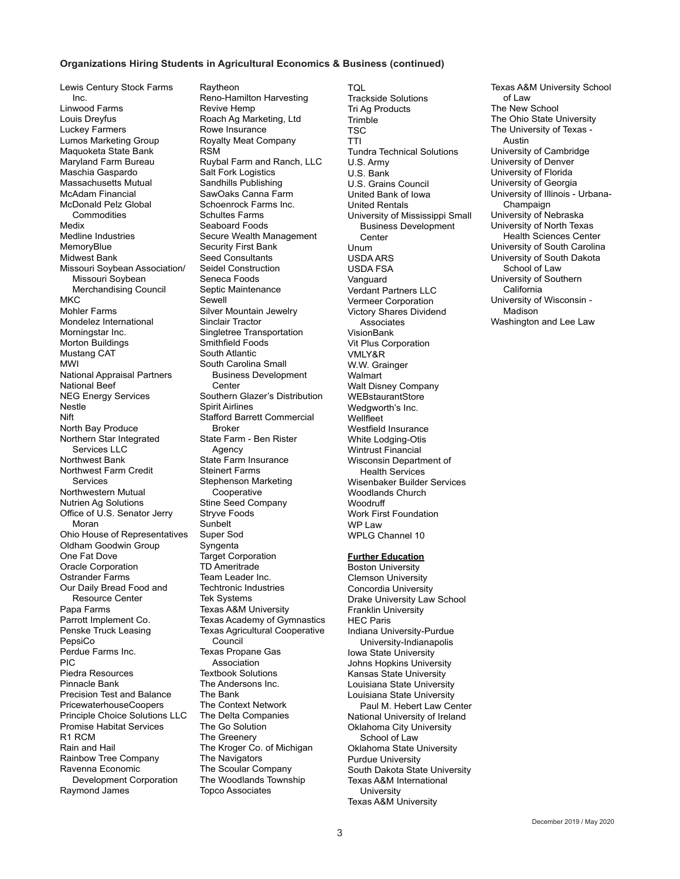#### **Organizations Hiring Students in Agricultural Economics & Business (continued)**

Lewis Century Stock Farms Inc. Linwood Farms Louis Dreyfus Luckey Farmers Lumos Marketing Group Maquoketa State Bank Maryland Farm Bureau Maschia Gaspardo Massachusetts Mutual McAdam Financial McDonald Pelz Global **Commodities** Medix Medline Industries MemoryBlue Midwest Bank Missouri Soybean Association/ Missouri Soybean Merchandising Council M<sub>KC</sub> Mohler Farms Mondelez International Morningstar Inc. Morton Buildings Mustang CAT MWI National Appraisal Partners National Beef NEG Energy Services Nestle Nift North Bay Produce Northern Star Integrated Services LLC Northwest Bank Northwest Farm Credit Services Northwestern Mutual Nutrien Ag Solutions Office of U.S. Senator Jerry Moran Ohio House of Representatives Oldham Goodwin Group One Fat Dove Oracle Corporation Ostrander Farms Our Daily Bread Food and Resource Center Papa Farms Parrott Implement Co. Penske Truck Leasing PepsiCo Perdue Farms Inc. PIC Piedra Resources Pinnacle Bank Precision Test and Balance PricewaterhouseCoopers Principle Choice Solutions LLC Promise Habitat Services R1 RCM Rain and Hail Rainbow Tree Company Ravenna Economic Development Corporation Raymond James

Raytheon Reno-Hamilton Harvesting Revive Hemp Roach Ag Marketing, Ltd Rowe Insurance Royalty Meat Company RSM Ruybal Farm and Ranch, LLC Salt Fork Logistics Sandhills Publishing SawOaks Canna Farm Schoenrock Farms Inc. Schultes Farms Seaboard Foods Secure Wealth Management Security First Bank Seed Consultants Seidel Construction Seneca Foods Septic Maintenance Sewell Silver Mountain Jewelry Sinclair Tractor Singletree Transportation Smithfield Foods South Atlantic South Carolina Small Business Development **Center** Southern Glazer's Distribution Spirit Airlines Stafford Barrett Commercial Broker State Farm - Ben Rister Agency State Farm Insurance Steinert Farms Stephenson Marketing Cooperative Stine Seed Company Stryve Foods Sunbelt Super Sod **Syngenta** Target Corporation TD Ameritrade Team Leader Inc. Techtronic Industries Tek Systems Texas A&M University Texas Academy of Gymnastics Texas Agricultural Cooperative Council Texas Propane Gas Association Textbook Solutions The Andersons Inc. The Bank The Context Network The Delta Companies The Go Solution The Greenery The Kroger Co. of Michigan The Navigators The Scoular Company The Woodlands Township Topco Associates

TQL Trackside Solutions Tri Ag Products **Trimble TSC** TTI Tundra Technical Solutions U.S. Army U.S. Bank U.S. Grains Council United Bank of Iowa United Rentals University of Mississippi Small Business Development **Center** Unum USDA ARS USDA FSA Vanguard Verdant Partners LLC Vermeer Corporation Victory Shares Dividend Associates VisionBank Vit Plus Corporation VMLY&R W.W. Grainger **Walmart** Walt Disney Company WEBstaurantStore Wedgworth's Inc. **Wellfleet** Westfield Insurance White Lodging-Otis Wintrust Financial Wisconsin Department of Health Services Wisenbaker Builder Services Woodlands Church **Woodruff** Work First Foundation WP Law WPLG Channel 10

#### **Further Education**

Boston University Clemson University Concordia University Drake University Law School Franklin University HEC Paris Indiana University-Purdue University-Indianapolis Iowa State University Johns Hopkins University Kansas State University Louisiana State University Louisiana State University Paul M. Hebert Law Center National University of Ireland Oklahoma City University School of Law Oklahoma State University Purdue University South Dakota State University Texas A&M International **University** Texas A&M University

Texas A&M University School of Law The New School The Ohio State University The University of Texas - Austin University of Cambridge University of Denver University of Florida University of Georgia University of Illinois - Urbana-Champaign University of Nebraska University of North Texas Health Sciences Center University of South Carolina University of South Dakota School of Law University of Southern California University of Wisconsin - Madison

Washington and Lee Law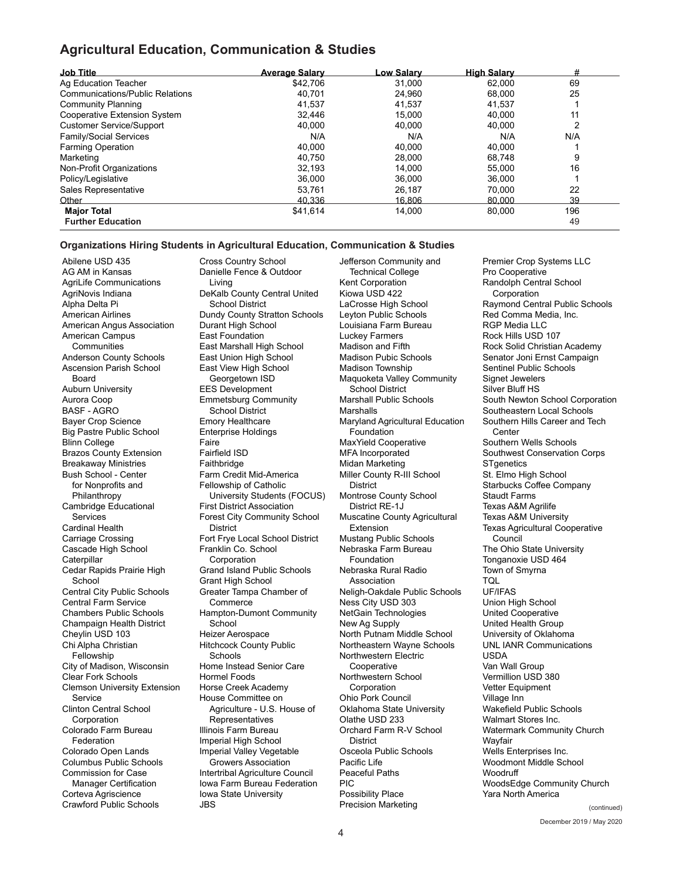## **Agricultural Education, Communication & Studies**

| <b>Job Title</b>                       | <b>Average Salary</b> | <u>_ow Salarv</u> | <b>High Salary</b> | #   |
|----------------------------------------|-----------------------|-------------------|--------------------|-----|
| Ag Education Teacher                   | \$42.706              | 31.000            | 62.000             | 69  |
| <b>Communications/Public Relations</b> | 40.701                | 24.960            | 68.000             | 25  |
| <b>Community Planning</b>              | 41,537                | 41.537            | 41.537             |     |
| Cooperative Extension System           | 32,446                | 15.000            | 40.000             | 11  |
| <b>Customer Service/Support</b>        | 40.000                | 40.000            | 40.000             | っ   |
| Family/Social Services                 | N/A                   | N/A               | N/A                | N/A |
| <b>Farming Operation</b>               | 40.000                | 40.000            | 40.000             |     |
| Marketing                              | 40.750                | 28,000            | 68.748             | 9   |
| Non-Profit Organizations               | 32.193                | 14.000            | 55.000             | 16  |
| Policy/Legislative                     | 36,000                | 36,000            | 36.000             |     |
| Sales Representative                   | 53,761                | 26,187            | 70.000             | 22  |
| Other                                  | 40.336                | 16.806            | 80.000             | 39  |
| <b>Major Total</b>                     | \$41,614              | 14,000            | 80.000             | 196 |
| <b>Further Education</b>               |                       |                   |                    | 49  |

#### **Organizations Hiring Students in Agricultural Education, Communication & Studies**

Abilene USD 435 AG AM in Kansas AgriLife Communications AgriNovis Indiana Alpha Delta Pi American Airlines American Angus Association American Campus **Communities** Anderson County Schools Ascension Parish School Board Auburn University Aurora Coop BASF - AGRO Bayer Crop Science Big Pastre Public School Blinn College Brazos County Extension Breakaway Ministries Bush School - Center for Nonprofits and Philanthropy Cambridge Educational Services Cardinal Health Carriage Crossing Cascade High School **Caterpillar** Cedar Rapids Prairie High School Central City Public Schools Central Farm Service Chambers Public Schools Champaign Health District Cheylin USD 103 Chi Alpha Christian Fellowship City of Madison, Wisconsin Clear Fork Schools Clemson University Extension Service Clinton Central School Corporation Colorado Farm Bureau Federation Colorado Open Lands Columbus Public Schools Commission for Case Manager Certification Corteva Agriscience Crawford Public Schools

Cross Country School Danielle Fence & Outdoor Living DeKalb County Central United School District Dundy County Stratton Schools Durant High School East Foundation East Marshall High School East Union High School East View High School Georgetown ISD EES Development Emmetsburg Community School District Emory Healthcare Enterprise Holdings Faire Fairfield ISD Faithbridge Farm Credit Mid-America Fellowship of Catholic University Students (FOCUS) First District Association Forest City Community School **District** Fort Frye Local School District Franklin Co. School **Corporation** Grand Island Public Schools Grant High School Greater Tampa Chamber of Commerce Hampton-Dumont Community School Heizer Aerospace Hitchcock County Public **Schools** Home Instead Senior Care Hormel Foods Horse Creek Academy House Committee on Agriculture - U.S. House of **Representatives** Illinois Farm Bureau Imperial High School Imperial Valley Vegetable Growers Association Intertribal Agriculture Council Iowa Farm Bureau Federation Iowa State University

JBS

Jefferson Community and Technical College Kent Corporation Kiowa USD 422 LaCrosse High School Leyton Public Schools Louisiana Farm Bureau Luckey Farmers Madison and Fifth Madison Pubic Schools Madison Township Maquoketa Valley Community School District Marshall Public Schools Marshalls Maryland Agricultural Education Foundation MaxYield Cooperative MFA Incorporated Midan Marketing Miller County R-III School District Montrose County School District RE-1J Muscatine County Agricultural Extension Mustang Public Schools Nebraska Farm Bureau Foundation Nebraska Rural Radio Association Neligh-Oakdale Public Schools Ness City USD 303 NetGain Technologies New Ag Supply North Putnam Middle School Northeastern Wayne Schools Northwestern Electric **Cooperative** Northwestern School Corporation Ohio Pork Council Oklahoma State University Olathe USD 233 Orchard Farm R-V School **District** Osceola Public Schools Pacific Life Peaceful Paths PIC Possibility Place Precision Marketing

Premier Crop Systems LLC Pro Cooperative Randolph Central School Corporation Raymond Central Public Schools Red Comma Media, Inc. RGP Media LLC Rock Hills USD 107 Rock Solid Christian Academy Senator Joni Ernst Campaign Sentinel Public Schools Signet Jewelers Silver Bluff HS South Newton School Corporation Southeastern Local Schools Southern Hills Career and Tech Center Southern Wells Schools Southwest Conservation Corps **ST**genetics St. Elmo High School Starbucks Coffee Company Staudt Farms Texas A&M Agrilife Texas A&M University Texas Agricultural Cooperative Council The Ohio State University Tonganoxie USD 464 Town of Smyrna TQL UF/IFAS Union High School United Cooperative United Health Group University of Oklahoma UNL IANR Communications USDA Van Wall Group Vermillion USD 380 Vetter Equipment Village Inn Wakefield Public Schools Walmart Stores Inc. Watermark Community Church **Wavfair** Wells Enterprises Inc. Woodmont Middle School **Woodruff** WoodsEdge Community Church Yara North America

> December 2019 / May 2020 (continued)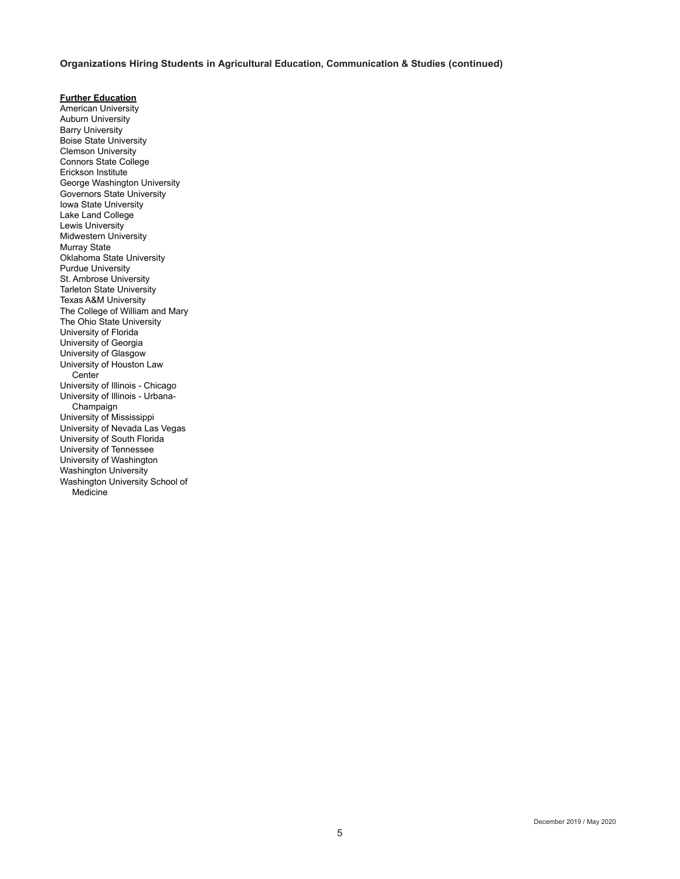### **Organizations Hiring Students in Agricultural Education, Communication & Studies (continued)**

**Further Education**

American University Auburn University Barry University Boise State University Clemson University Connors State College Erickson Institute George Washington University Governors State University Iowa State University Lake Land College Lewis University Midwestern University Murray State Oklahoma State University Purdue University St. Ambrose University Tarleton State University Texas A&M University The College of William and Mary The Ohio State University University of Florida University of Georgia University of Glasgow University of Houston Law **Center** University of Illinois - Chicago University of Illinois - Urbana-Champaign University of Mississippi University of Nevada Las Vegas University of South Florida University of Tennessee University of Washington Washington University Washington University School of Medicine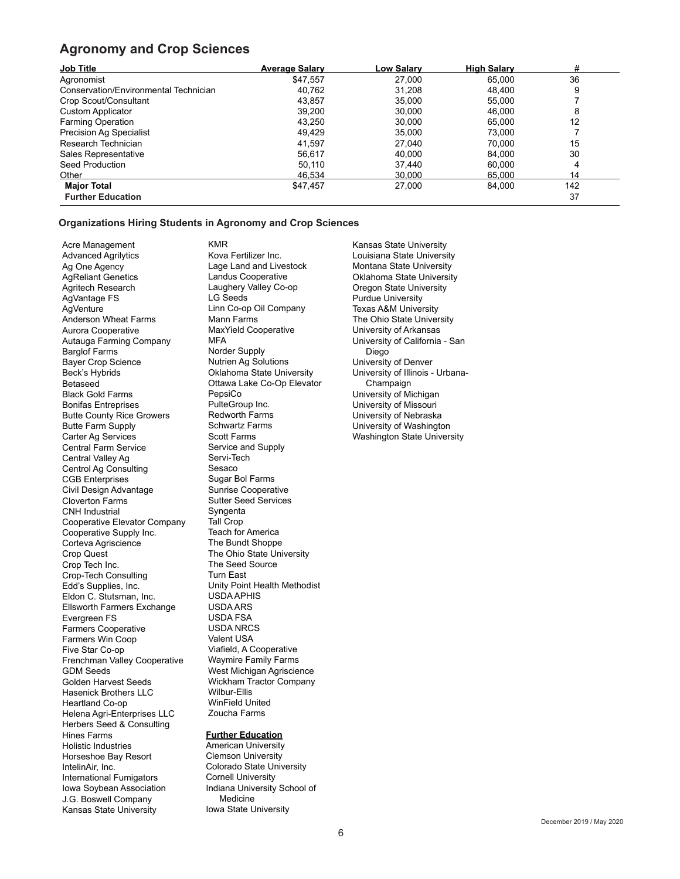## **Agronomy and Crop Sciences**

| <b>Job Title</b>                      | <b>Average Salary</b> | Low Salary | <b>High Salary</b> | #   |  |
|---------------------------------------|-----------------------|------------|--------------------|-----|--|
| Agronomist                            | \$47.557              | 27,000     | 65.000             | 36  |  |
| Conservation/Environmental Technician | 40.762                | 31.208     | 48.400             | 9   |  |
| Crop Scout/Consultant                 | 43.857                | 35.000     | 55.000             |     |  |
| <b>Custom Applicator</b>              | 39,200                | 30,000     | 46,000             | 8   |  |
| <b>Farming Operation</b>              | 43,250                | 30,000     | 65.000             | 12  |  |
| <b>Precision Ag Specialist</b>        | 49.429                | 35.000     | 73.000             |     |  |
| Research Technician                   | 41.597                | 27.040     | 70.000             | 15  |  |
| Sales Representative                  | 56.617                | 40.000     | 84.000             | 30  |  |
| Seed Production                       | 50,110                | 37.440     | 60.000             | 4   |  |
| Other                                 | 46.534                | 30.000     | 65.000             | 14  |  |
| <b>Major Total</b>                    | \$47,457              | 27.000     | 84.000             | 142 |  |
| <b>Further Education</b>              |                       |            |                    | 37  |  |

### **Organizations Hiring Students in Agronomy and Crop Sciences**

Acre Management Advanced Agrilytics Ag One Agency AgReliant Genetics Agritech Research AgVantage FS AgVenture Anderson Wheat Farms Aurora Cooperative Autauga Farming Company Barglof Farms Bayer Crop Science Beck's Hybrids Betaseed Black Gold Farms Bonifas Entreprises Butte County Rice Growers Butte Farm Supply Carter Ag Services Central Farm Service Central Valley Ag Centrol Ag Consulting CGB Enterprises Civil Design Advantage Cloverton Farms CNH Industrial Cooperative Elevator Company Cooperative Supply Inc. Corteva Agriscience Crop Quest Crop Tech Inc. Crop-Tech Consulting Edd's Supplies, Inc. Eldon C. Stutsman, Inc. Ellsworth Farmers Exchange Evergreen FS Farmers Cooperative Farmers Win Coop Five Star Co-op Frenchman Valley Cooperative GDM Seeds Golden Harvest Seeds Hasenick Brothers LLC Heartland Co-op Helena Agri-Enterprises LLC Herbers Seed & Consulting Hines Farms Holistic Industries Horseshoe Bay Resort IntelinAir, Inc. International Fumigators Iowa Soybean Association J.G. Boswell Company Kansas State University

KMR Kova Fertilizer Inc. Lage Land and Livestock Landus Cooperative Laughery Valley Co-op LG Seeds Linn Co-op Oil Company Mann Farms MaxYield Cooperative **MFA** Norder Supply Nutrien Ag Solutions Oklahoma State University Ottawa Lake Co-Op Elevator PepsiCo PulteGroup Inc. Redworth Farms Schwartz Farms Scott Farms Service and Supply Servi-Tech Sesaco Sugar Bol Farms Sunrise Cooperative Sutter Seed Services Syngenta Tall Crop Teach for America The Bundt Shoppe The Ohio State University The Seed Source Turn East Unity Point Health Methodist USDA APHIS USDA ARS USDA FSA USDA NRCS Valent USA Viafield, A Cooperative Waymire Family Farms West Michigan Agriscience Wickham Tractor Company Wilbur-Ellis WinField United Zoucha Farms

## **Further Education**

American University Clemson University Colorado State University Cornell University Indiana University School of Medicine Iowa State University

Kansas State University Louisiana State University Montana State University Oklahoma State University Oregon State University Purdue University Texas A&M University The Ohio State University University of Arkansas University of California - San Diego University of Denver University of Illinois - Urbana-Champaign University of Michigan University of Missouri University of Nebraska University of Washington Washington State University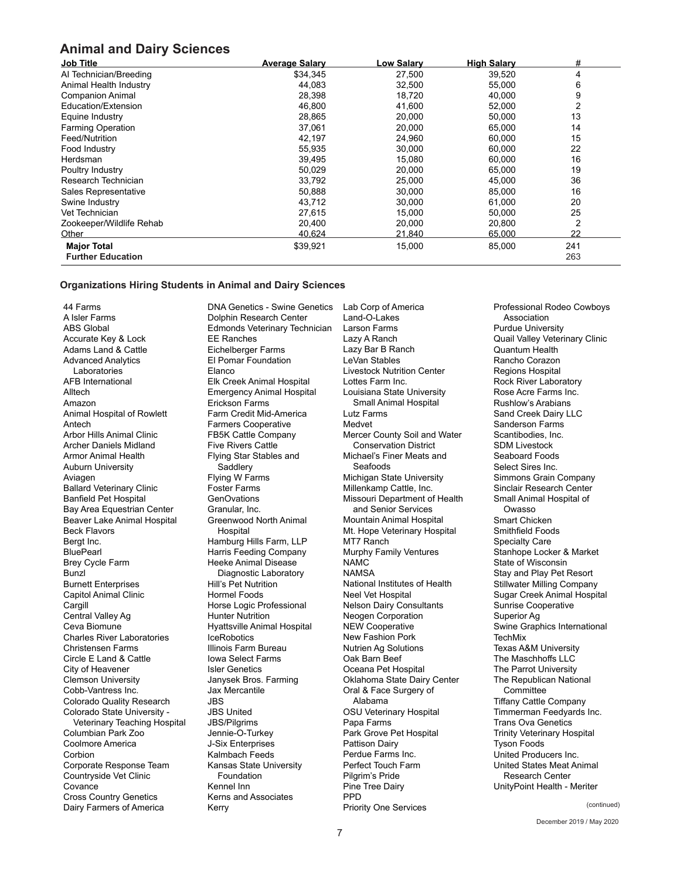## **Animal and Dairy Sciences**

| <b>Job Title</b>         | <b>Average Salary</b> | <b>Low Salary</b> | <b>High Salary</b> | #   |
|--------------------------|-----------------------|-------------------|--------------------|-----|
| Al Technician/Breeding   | \$34,345              | 27,500            | 39,520             | 4   |
| Animal Health Industry   | 44.083                | 32,500            | 55,000             | 6   |
| <b>Companion Animal</b>  | 28,398                | 18,720            | 40,000             | 9   |
| Education/Extension      | 46.800                | 41,600            | 52,000             | 2   |
| Equine Industry          | 28,865                | 20,000            | 50,000             | 13  |
| <b>Farming Operation</b> | 37,061                | 20,000            | 65,000             | 14  |
| Feed/Nutrition           | 42,197                | 24,960            | 60,000             | 15  |
| Food Industry            | 55,935                | 30,000            | 60,000             | 22  |
| Herdsman                 | 39,495                | 15,080            | 60,000             | 16  |
| Poultry Industry         | 50,029                | 20,000            | 65,000             | 19  |
| Research Technician      | 33,792                | 25,000            | 45,000             | 36  |
| Sales Representative     | 50,888                | 30.000            | 85,000             | 16  |
| Swine Industry           | 43,712                | 30,000            | 61,000             | 20  |
| Vet Technician           | 27,615                | 15,000            | 50,000             | 25  |
| Zookeeper/Wildlife Rehab | 20,400                | 20,000            | 20,800             | 2   |
| Other                    | 40.624                | 21.840            | 65,000             | 22  |
| <b>Major Total</b>       | \$39,921              | 15,000            | 85,000             | 241 |
| <b>Further Education</b> |                       |                   |                    | 263 |

#### **Organizations Hiring Students in Animal and Dairy Sciences**

44 Farms A Isler Farms ABS Global Accurate Key & Lock Adams Land & Cattle Advanced Analytics Laboratories AFB International Alltech Amazon Animal Hospital of Rowlett Antech Arbor Hills Animal Clinic Archer Daniels Midland Armor Animal Health Auburn University Aviagen Ballard Veterinary Clinic Banfield Pet Hospital Bay Area Equestrian Center Beaver Lake Animal Hospital Beck Flavors Bergt Inc. **BluePearl** Brey Cycle Farm Bunzl Burnett Enterprises Capitol Animal Clinic Cargill Central Valley Ag Ceva Biomune Charles River Laboratories Christensen Farms Circle E Land & Cattle City of Heavener Clemson University Cobb-Vantress Inc. Colorado Quality Research Colorado State University - Veterinary Teaching Hospital Columbian Park Zoo Coolmore America **Corbion** Corporate Response Team Countryside Vet Clinic **Covance** Cross Country Genetics Dairy Farmers of America

DNA Genetics - Swine Genetics Dolphin Research Center Edmonds Veterinary Technician EE Ranches Eichelberger Farms El Pomar Foundation **Elanco** Elk Creek Animal Hospital Emergency Animal Hospital Erickson Farms Farm Credit Mid-America Farmers Cooperative FB5K Cattle Company Five Rivers Cattle Flying Star Stables and Saddlery Flying W Farms Foster Farms GenOvations Granular, Inc. Greenwood North Animal Hospital Hamburg Hills Farm, LLP Harris Feeding Company Heeke Animal Disease Diagnostic Laboratory Hill's Pet Nutrition Hormel Foods Horse Logic Professional Hunter Nutrition Hyattsville Animal Hospital **IceRobotics** Illinois Farm Bureau Iowa Select Farms Isler Genetics Janysek Bros. Farming Jax Mercantile JBS JBS United JBS/Pilgrims Jennie-O-Turkey J-Six Enterprises Kalmbach Feeds Kansas State University Foundation Kennel Inn Kerns and Associates Kerry

Lab Corp of America Land-O-Lakes Larson Farms Lazy A Ranch Lazy Bar B Ranch LeVan Stables Livestock Nutrition Center Lottes Farm Inc. Louisiana State University Small Animal Hospital Lutz Farms Medvet Mercer County Soil and Water Conservation District Michael's Finer Meats and Seafoods Michigan State University Millenkamp Cattle, Inc. Missouri Department of Health and Senior Services Mountain Animal Hospital Mt. Hope Veterinary Hospital MT7 Ranch Murphy Family Ventures NAMC NAMSA National Institutes of Health Neel Vet Hospital Nelson Dairy Consultants Neogen Corporation NEW Cooperative New Fashion Pork Nutrien Ag Solutions Oak Barn Beef Oceana Pet Hospital Oklahoma State Dairy Center Oral & Face Surgery of Alabama OSU Veterinary Hospital Papa Farms Park Grove Pet Hospital Pattison Dairy Perdue Farms Inc. Perfect Touch Farm Pilgrim's Pride Pine Tree Dairy **PPD** Priority One Services

Professional Rodeo Cowboys Association Purdue University Quail Valley Veterinary Clinic Quantum Health Rancho Corazon Regions Hospital Rock River Laboratory Rose Acre Farms Inc. Rushlow's Arabians Sand Creek Dairy LLC Sanderson Farms Scantibodies, Inc. SDM Livestock Seaboard Foods Select Sires Inc. Simmons Grain Company Sinclair Research Center Small Animal Hospital of Owasso Smart Chicken Smithfield Foods Specialty Care Stanhope Locker & Market State of Wisconsin Stay and Play Pet Resort Stillwater Milling Company Sugar Creek Animal Hospital Sunrise Cooperative Superior Ag Swine Graphics International **TechMix** Texas A&M University The Maschhoffs LLC The Parrot University The Republican National **Committee** Tiffany Cattle Company Timmerman Feedyards Inc. Trans Ova Genetics Trinity Veterinary Hospital Tyson Foods United Producers Inc. United States Meat Animal Research Center UnityPoint Health - Meriter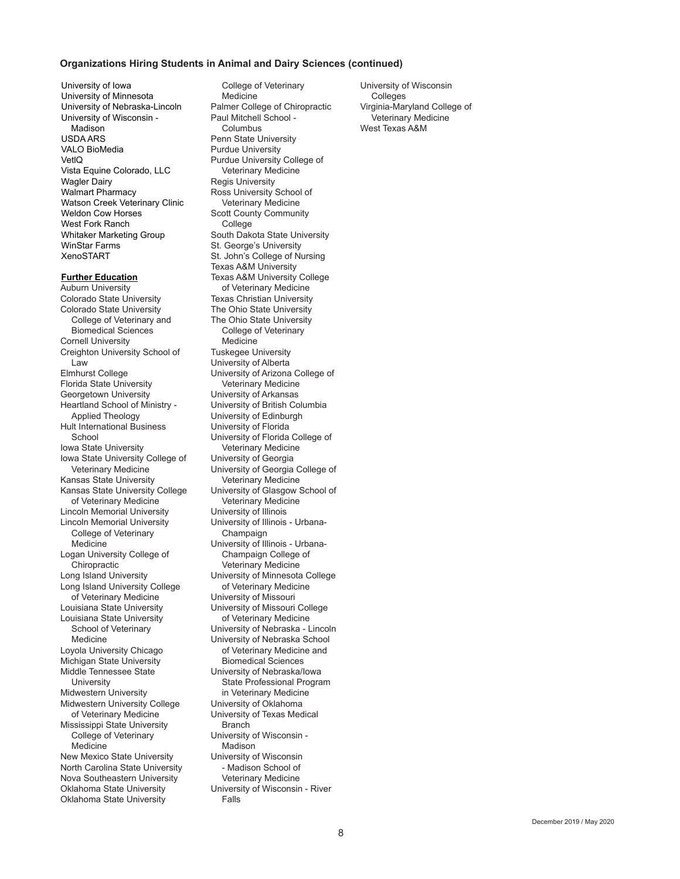#### **Organizations Hiring Students in Animal and Dairy Sciences (continued)**

University of Iowa University of Minnesota University of Nebraska-Lincoln University of Wisconsin - Madison USDA ARS VALO BioMedia VetlQ Vista Equine Colorado, LLC Wagler Dairy Walmart Pharmacy Watson Creek Veterinary Clinic Weldon Cow Horses West Fork Ranch Whitaker Marketing Group WinStar Farms XenoSTART

#### **Further Education**

Auburn University Colorado State University Colorado State University College of Veterinary and Biomedical Sciences Cornell University Creighton University School of Law Elmhurst College Florida State University Georgetown University Heartland School of Ministry - Applied Theology Hult International Business **School** Iowa State University Iowa State University College of Veterinary Medicine Kansas State University Kansas State University College of Veterinary Medicine Lincoln Memorial University Lincoln Memorial University College of Veterinary **Medicine** Logan University College of **Chiropractic** Long Island University Long Island University College of Veterinary Medicine Louisiana State University Louisiana State University School of Veterinary Medicine Loyola University Chicago Michigan State University Middle Tennessee State University Midwestern University Midwestern University College of Veterinary Medicine Mississippi State University College of Veterinary Medicine New Mexico State University North Carolina State University Nova Southeastern University Oklahoma State University Oklahoma State University

College of Veterinary Medicine Palmer College of Chiropractic Paul Mitchell School - Columbus Penn State University Purdue University Purdue University College of Veterinary Medicine Regis University Ross University School of Veterinary Medicine Scott County Community **College** South Dakota State University St. George's University St. John's College of Nursing Texas A&M University Texas A&M University College of Veterinary Medicine Texas Christian University The Ohio State University The Ohio State University College of Veterinary Medicine Tuskegee University University of Alberta University of Arizona College of Veterinary Medicine University of Arkansas University of British Columbia University of Edinburgh University of Florida University of Florida College of Veterinary Medicine University of Georgia University of Georgia College of Veterinary Medicine University of Glasgow School of Veterinary Medicine University of Illinois University of Illinois - Urbana-Champaign University of Illinois - Urbana-Champaign College of Veterinary Medicine University of Minnesota College of Veterinary Medicine University of Missouri University of Missouri College of Veterinary Medicine University of Nebraska - Lincoln University of Nebraska School of Veterinary Medicine and Biomedical Sciences University of Nebraska/Iowa State Professional Program in Veterinary Medicine University of Oklahoma University of Texas Medical Branch University of Wisconsin - Madison University of Wisconsin - Madison School of Veterinary Medicine University of Wisconsin - River Falls

University of Wisconsin Colleges Virginia-Maryland College of Veterinary Medicine West Texas A&M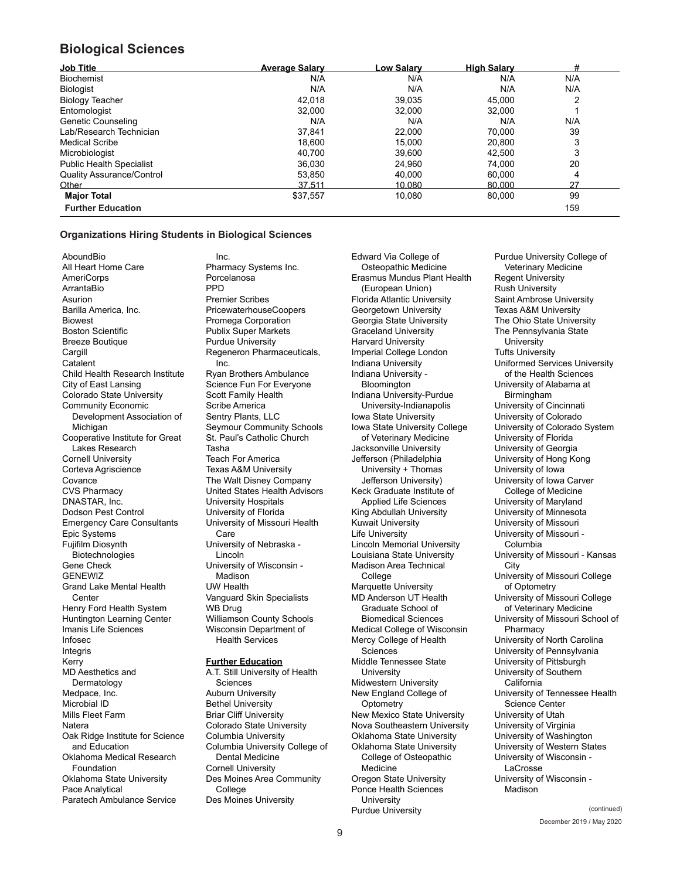## **Biological Sciences**

| <b>Job Title</b>                 | <b>Average Salary</b> | <b>Low Salarv</b> | <b>High Salary</b> | #   |
|----------------------------------|-----------------------|-------------------|--------------------|-----|
| <b>Biochemist</b>                | N/A                   | N/A               | N/A                | N/A |
| Biologist                        | N/A                   | N/A               | N/A                | N/A |
| <b>Biology Teacher</b>           | 42.018                | 39.035            | 45.000             |     |
| Entomologist                     | 32.000                | 32.000            | 32.000             |     |
| Genetic Counseling               | N/A                   | N/A               | N/A                | N/A |
| Lab/Research Technician          | 37.841                | 22.000            | 70.000             | 39  |
| <b>Medical Scribe</b>            | 18.600                | 15.000            | 20.800             | 3   |
| Microbiologist                   | 40.700                | 39.600            | 42.500             | 3   |
| <b>Public Health Specialist</b>  | 36,030                | 24,960            | 74.000             | 20  |
| <b>Quality Assurance/Control</b> | 53,850                | 40.000            | 60.000             | 4   |
| Other                            | 37.511                | 10.080            | 80,000             | 27  |
| <b>Major Total</b>               | \$37,557              | 10,080            | 80.000             | 99  |
| <b>Further Education</b>         |                       |                   |                    | 159 |

### **Organizations Hiring Students in Biological Sciences**

**AboundBio** All Heart Home Care AmeriCorps ArrantaBio Asurion Barilla America, Inc. Biowest Boston Scientific Breeze Boutique **Cargill Catalent** Child Health Research Institute City of East Lansing Colorado State University Community Economic Development Association of Michigan Cooperative Institute for Great Lakes Research Cornell University Corteva Agriscience Covance CVS Pharmacy DNASTAR, Inc. Dodson Pest Control Emergency Care Consultants Epic Systems Fujifilm Diosynth Biotechnologies Gene Check GENEWIZ Grand Lake Mental Health **Center** Henry Ford Health System Huntington Learning Center Imanis Life Sciences Infosec Integris Kerry MD Aesthetics and Dermatology Medpace, Inc. Microbial ID Mills Fleet Farm **Natera** Oak Ridge Institute for Science and Education Oklahoma Medical Research Foundation Oklahoma State University Pace Analytical Paratech Ambulance Service

Inc. Pharmacy Systems Inc. Porcelanosa PPD Premier Scribes PricewaterhouseCoopers Promega Corporation Publix Super Markets Purdue University Regeneron Pharmaceuticals, Inc. Ryan Brothers Ambulance Science Fun For Everyone Scott Family Health Scribe America Sentry Plants, LLC Seymour Community Schools St. Paul's Catholic Church Tasha Teach For America Texas A&M University The Walt Disney Company United States Health Advisors University Hospitals University of Florida University of Missouri Health Care University of Nebraska - Lincoln University of Wisconsin - Madison UW Health Vanguard Skin Specialists WB Drug Williamson County Schools Wisconsin Department of Health Services **Further Education**

A.T. Still University of Health Sciences Auburn University Bethel University Briar Cliff University Colorado State University Columbia University Columbia University College of Dental Medicine Cornell University Des Moines Area Community College Des Moines University

Edward Via College of Osteopathic Medicine Erasmus Mundus Plant Health (European Union) Florida Atlantic University Georgetown University Georgia State University Graceland University Harvard University Imperial College London Indiana University Indiana University - Bloomington Indiana University-Purdue University-Indianapolis Iowa State University Iowa State University College of Veterinary Medicine Jacksonville University Jefferson (Philadelphia University + Thomas Jefferson University) Keck Graduate Institute of Applied Life Sciences King Abdullah University Kuwait University Life University Lincoln Memorial University Louisiana State University Madison Area Technical **College** Marquette University MD Anderson UT Health Graduate School of Biomedical Sciences Medical College of Wisconsin Mercy College of Health Sciences Middle Tennessee State University Midwestern University New England College of **Optometry** New Mexico State University Nova Southeastern University Oklahoma State University Oklahoma State University College of Osteopathic Medicine Oregon State University Ponce Health Sciences **University** Purdue University

Purdue University College of Veterinary Medicine Regent University Rush University Saint Ambrose University Texas A&M University The Ohio State University The Pennsylvania State University Tufts University Uniformed Services University of the Health Sciences University of Alabama at Birmingham University of Cincinnati University of Colorado University of Colorado System University of Florida University of Georgia University of Hong Kong University of Iowa University of Iowa Carver College of Medicine University of Maryland University of Minnesota University of Missouri University of Missouri - Columbia University of Missouri - Kansas **City** University of Missouri College of Optometry University of Missouri College of Veterinary Medicine University of Missouri School of Pharmacy University of North Carolina University of Pennsylvania University of Pittsburgh University of Southern **California** University of Tennessee Health Science Center University of Utah University of Virginia University of Washington University of Western States University of Wisconsin - LaCrosse University of Wisconsin - Madison

(continued)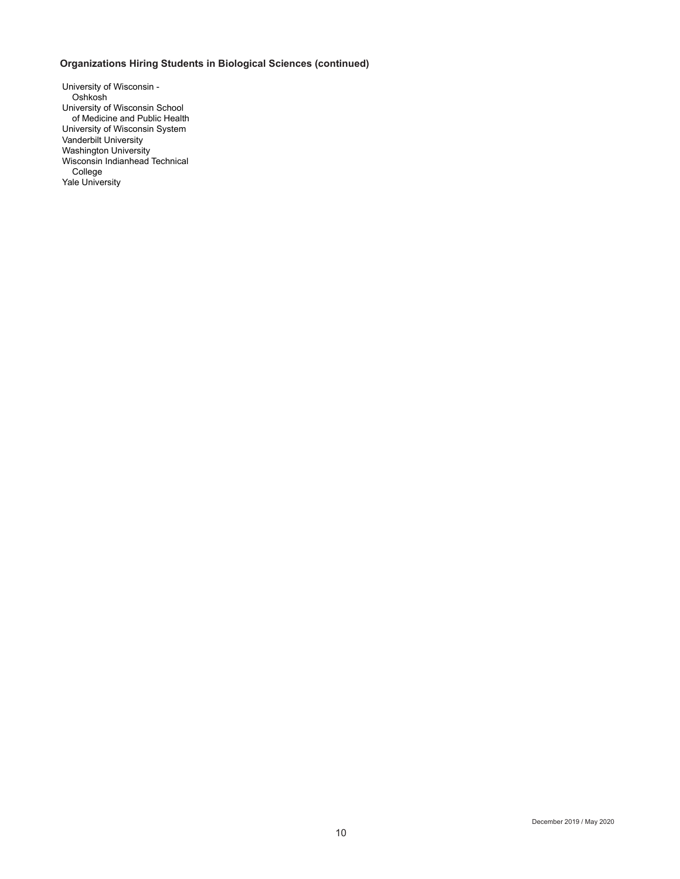## **Organizations Hiring Students in Biological Sciences (continued)**

University of Wisconsin - Oshkosh University of Wisconsin School of Medicine and Public Health University of Wisconsin System Vanderbilt University Washington University Wisconsin Indianhead Technical College Yale University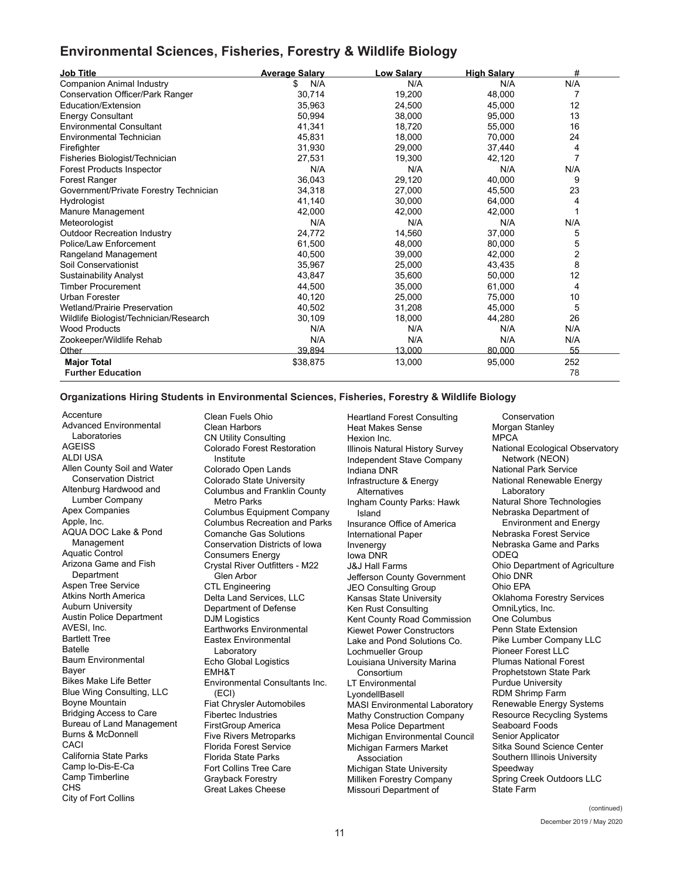## **Environmental Sciences, Fisheries, Forestry & Wildlife Biology**

| <b>Job Title</b>                        | <b>Average Salary</b> | <b>Low Salary</b> | <b>High Salary</b> | #   |
|-----------------------------------------|-----------------------|-------------------|--------------------|-----|
| <b>Companion Animal Industry</b>        | N/A<br>\$             | N/A               | N/A                | N/A |
| <b>Conservation Officer/Park Ranger</b> | 30.714                | 19,200            | 48,000             | 7   |
| Education/Extension                     | 35,963                | 24,500            | 45,000             | 12  |
| <b>Energy Consultant</b>                | 50,994                | 38,000            | 95,000             | 13  |
| <b>Environmental Consultant</b>         | 41,341                | 18,720            | 55,000             | 16  |
| Environmental Technician                | 45,831                | 18,000            | 70,000             | 24  |
| Firefighter                             | 31,930                | 29.000            | 37,440             | 4   |
| Fisheries Biologist/Technician          | 27,531                | 19,300            | 42,120             |     |
| <b>Forest Products Inspector</b>        | N/A                   | N/A               | N/A                | N/A |
| Forest Ranger                           | 36,043                | 29,120            | 40,000             | 9   |
| Government/Private Forestry Technician  | 34,318                | 27,000            | 45,500             | 23  |
| Hydrologist                             | 41,140                | 30,000            | 64,000             | 4   |
| Manure Management                       | 42.000                | 42.000            | 42.000             |     |
| Meteorologist                           | N/A                   | N/A               | N/A                | N/A |
| <b>Outdoor Recreation Industry</b>      | 24.772                | 14.560            | 37,000             | 5   |
| Police/Law Enforcement                  | 61,500                | 48,000            | 80,000             | 5   |
| Rangeland Management                    | 40,500                | 39,000            | 42,000             | 2   |
| Soil Conservationist                    | 35,967                | 25,000            | 43,435             | 8   |
| <b>Sustainability Analyst</b>           | 43,847                | 35,600            | 50,000             | 12  |
| <b>Timber Procurement</b>               | 44.500                | 35.000            | 61,000             | 4   |
| Urban Forester                          | 40,120                | 25,000            | 75,000             | 10  |
| <b>Wetland/Prairie Preservation</b>     | 40,502                | 31,208            | 45,000             | 5   |
| Wildlife Biologist/Technician/Research  | 30,109                | 18,000            | 44,280             | 26  |
| <b>Wood Products</b>                    | N/A                   | N/A               | N/A                | N/A |
| Zookeeper/Wildlife Rehab                | N/A                   | N/A               | N/A                | N/A |
| Other                                   | 39.894                | 13.000            | 80.000             | 55  |
| <b>Major Total</b>                      | \$38,875              | 13,000            | 95,000             | 252 |
| <b>Further Education</b>                |                       |                   |                    | 78  |

### **Organizations Hiring Students in Environmental Sciences, Fisheries, Forestry & Wildlife Biology**

**Accenture** Advanced Environmental Laboratories **AGEISS** ALDI USA Allen County Soil and Water Conservation District Altenburg Hardwood and Lumber Company Apex Companies Apple, Inc. AQUA DOC Lake & Pond Management Aquatic Control Arizona Game and Fish **Department** Aspen Tree Service Atkins North America Auburn University Austin Police Department AVESI, Inc. Bartlett Tree Batelle Baum Environmental Bayer Bikes Make Life Better Blue Wing Consulting, LLC Boyne Mountain Bridging Access to Care Bureau of Land Management Burns & McDonnell CACI California State Parks Camp lo-Dis-E-Ca Camp Timberline CHS City of Fort Collins

Clean Fuels Ohio Clean Harbors CN Utility Consulting Colorado Forest Restoration Institute Colorado Open Lands Colorado State University Columbus and Franklin County Metro Parks Columbus Equipment Company Columbus Recreation and Parks Comanche Gas Solutions Conservation Districts of Iowa Consumers Energy Crystal River Outfitters - M22 Glen Arbor CTL Engineering Delta Land Services, LLC Department of Defense DJM Logistics Earthworks Environmental Eastex Environmental Laboratory Echo Global Logistics EMH&T Environmental Consultants Inc. (ECI) Fiat Chrysler Automobiles Fibertec Industries FirstGroup America Five Rivers Metroparks Florida Forest Service Florida State Parks Fort Collins Tree Care Grayback Forestry Great Lakes Cheese

Heartland Forest Consulting Heat Makes Sense Hexion Inc. Illinois Natural History Survey Independent Stave Company Indiana DNR Infrastructure & Energy Alternatives Ingham County Parks: Hawk Island Insurance Office of America International Paper Invenergy Iowa DNR J&J Hall Farms Jefferson County Government JEO Consulting Group Kansas State University Ken Rust Consulting Kent County Road Commission Kiewet Power Constructors Lake and Pond Solutions Co. Lochmueller Group Louisiana University Marina Consortium LT Environmental **LyondellBasell** MASI Environmental Laboratory Mathy Construction Company Mesa Police Department Michigan Environmental Council Michigan Farmers Market Association Michigan State University Milliken Forestry Company Missouri Department of

**Conservation** Morgan Stanley MPCA National Ecological Observatory Network (NEON) National Park Service National Renewable Energy Laboratory Natural Shore Technologies Nebraska Department of Environment and Energy Nebraska Forest Service Nebraska Game and Parks ODEQ Ohio Department of Agriculture Ohio DNR Ohio EPA Oklahoma Forestry Services OmniLytics, Inc. One Columbus Penn State Extension Pike Lumber Company LLC Pioneer Forest LLC Plumas National Forest Prophetstown State Park Purdue University RDM Shrimp Farm Renewable Energy Systems Resource Recycling Systems Seaboard Foods Senior Applicator Sitka Sound Science Center Southern Illinois University Speedway Spring Creek Outdoors LLC State Farm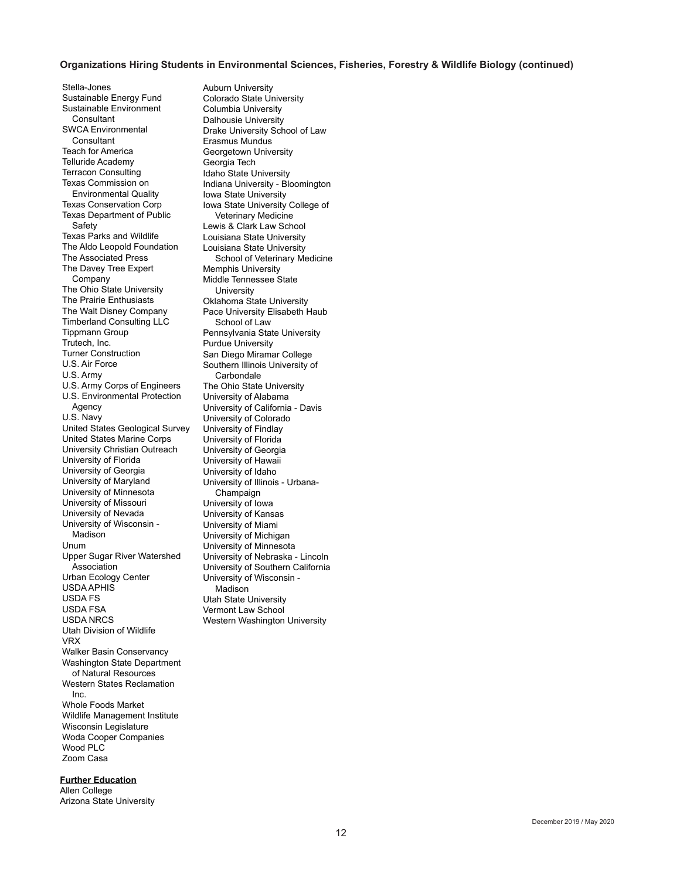#### **Organizations Hiring Students in Environmental Sciences, Fisheries, Forestry & Wildlife Biology (continued)**

Stella-Jones Sustainable Energy Fund Sustainable Environment **Consultant** SWCA Environmental **Consultant** Teach for America Telluride Academy Terracon Consulting Texas Commission on Environmental Quality Texas Conservation Corp Texas Department of Public **Safety** Texas Parks and Wildlife The Aldo Leopold Foundation The Associated Press The Davey Tree Expert Company The Ohio State University The Prairie Enthusiasts The Walt Disney Company Timberland Consulting LLC Tippmann Group Trutech, Inc. Turner Construction U.S. Air Force U.S. Army U.S. Army Corps of Engineers U.S. Environmental Protection Agency U.S. Navy United States Geological Survey United States Marine Corps University Christian Outreach University of Florida University of Georgia University of Maryland University of Minnesota University of Missouri University of Nevada University of Wisconsin - Madison Unum Upper Sugar River Watershed Association Urban Ecology Center USDA APHIS USDA FS USDA FSA USDA NRCS Utah Division of Wildlife VRX Walker Basin Conservancy Washington State Department of Natural Resources Western States Reclamation Inc. Whole Foods Market Wildlife Management Institute Wisconsin Legislature Woda Cooper Companies Wood PLC Zoom Casa

**Further Education** Allen College Arizona State University Auburn University Colorado State University Columbia University Dalhousie University Drake University School of Law Erasmus Mundus Georgetown University Georgia Tech Idaho State University Indiana University - Bloomington Iowa State University Iowa State University College of Veterinary Medicine Lewis & Clark Law School Louisiana State University Louisiana State University School of Veterinary Medicine Memphis University Middle Tennessee State University Oklahoma State University Pace University Elisabeth Haub School of Law Pennsylvania State University Purdue University San Diego Miramar College Southern Illinois University of **Carbondale** The Ohio State University University of Alabama University of California - Davis University of Colorado University of Findlay University of Florida University of Georgia University of Hawaii University of Idaho University of Illinois - Urbana-Champaign University of Iowa University of Kansas University of Miami University of Michigan University of Minnesota University of Nebraska - Lincoln University of Southern California University of Wisconsin - **Madison** Utah State University Vermont Law School Western Washington University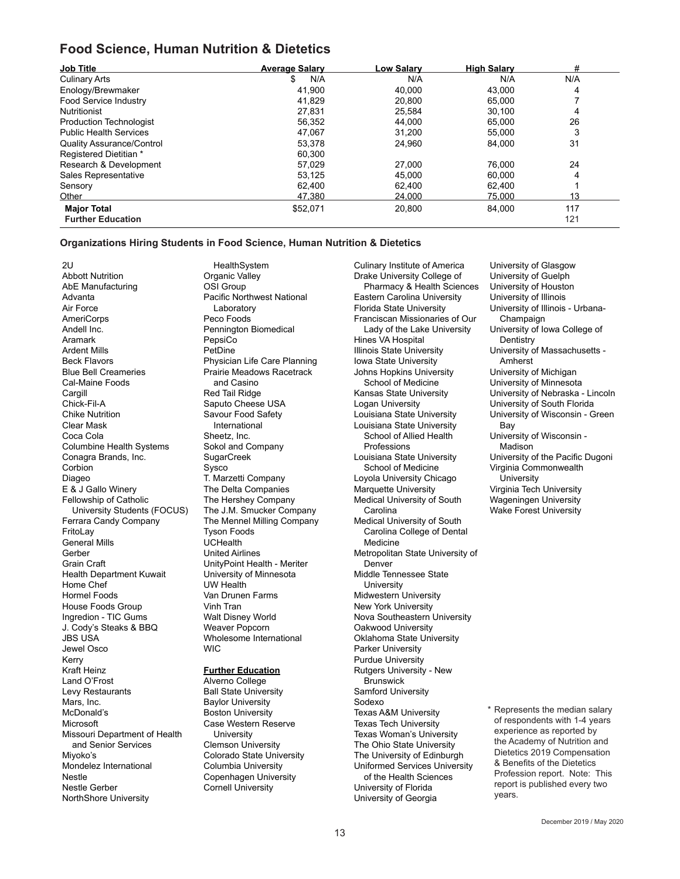## **Food Science, Human Nutrition & Dietetics**

| <b>Job Title</b>                 | <b>Average Salary</b> | Low Salarv | <b>High Salary</b> | #   |
|----------------------------------|-----------------------|------------|--------------------|-----|
| <b>Culinary Arts</b>             | N/A<br>\$             | N/A        | N/A                | N/A |
| Enology/Brewmaker                | 41,900                | 40,000     | 43.000             | 4   |
| Food Service Industry            | 41.829                | 20.800     | 65.000             |     |
| <b>Nutritionist</b>              | 27,831                | 25,584     | 30.100             | 4   |
| <b>Production Technologist</b>   | 56.352                | 44.000     | 65.000             | 26  |
| <b>Public Health Services</b>    | 47.067                | 31.200     | 55.000             | 3   |
| <b>Quality Assurance/Control</b> | 53,378                | 24.960     | 84.000             | 31  |
| Registered Dietitian *           | 60.300                |            |                    |     |
| Research & Development           | 57.029                | 27.000     | 76.000             | 24  |
| Sales Representative             | 53.125                | 45.000     | 60.000             | 4   |
| Sensory                          | 62,400                | 62.400     | 62.400             |     |
| Other                            | 47.380                | 24.000     | 75.000             | 13  |
| <b>Major Total</b>               | \$52,071              | 20,800     | 84.000             | 117 |
| <b>Further Education</b>         |                       |            |                    | 121 |

#### **Organizations Hiring Students in Food Science, Human Nutrition & Dietetics**

2U Abbott Nutrition AbE Manufacturing Advanta Air Force AmeriCorps Andell Inc. Aramark Ardent Mills Beck Flavors Blue Bell Creameries Cal-Maine Foods **Cargill** Chick-Fil-A Chike Nutrition Clear Mask Coca Cola Columbine Health Systems Conagra Brands, Inc. **Corbion** Diageo E & J Gallo Winery Fellowship of Catholic University Students (FOCUS) Ferrara Candy Company **FritoLav** General Mills Gerber Grain Craft Health Department Kuwait Home Chef Hormel Foods House Foods Group Ingredion - TIC Gums J. Cody's Steaks & BBQ JBS USA Jewel Osco Kerry Kraft Heinz Land O'Frost Levy Restaurants Mars, Inc. McDonald's **Microsoft** Missouri Department of Health and Senior Services Miyoko's Mondelez International Nestle Nestle Gerber NorthShore University

HealthSystem Organic Valley OSI Group Pacific Northwest National Laboratory Peco Foods Pennington Biomedical PepsiCo PetDine Physician Life Care Planning Prairie Meadows Racetrack and Casino Red Tail Ridge Saputo Cheese USA Savour Food Safety International Sheetz, Inc. Sokol and Company SugarCreek Sysco T. Marzetti Company The Delta Companies The Hershey Company The J.M. Smucker Company The Mennel Milling Company Tyson Foods UCHealth United Airlines UnityPoint Health - Meriter University of Minnesota UW Health Van Drunen Farms Vinh Tran Walt Disney World Weaver Popcorn Wholesome International **WIC** 

### **Further Education**

Alverno College Ball State University Baylor University Boston University Case Western Reserve **University** Clemson University Colorado State University Columbia University Copenhagen University Cornell University

Culinary Institute of America Drake University College of Pharmacy & Health Sciences Eastern Carolina University Florida State University Franciscan Missionaries of Our Lady of the Lake University Hines VA Hospital Illinois State University Iowa State University Johns Hopkins University School of Medicine Kansas State University Logan University Louisiana State University Louisiana State University School of Allied Health Professions Louisiana State University School of Medicine Loyola University Chicago Marquette University Medical University of South **Carolina** Medical University of South Carolina College of Dental Medicine Metropolitan State University of Denver Middle Tennessee State **University** Midwestern University New York University Nova Southeastern University Oakwood University Oklahoma State University Parker University Purdue University Rutgers University - New **Brunswick** Samford University Sodexo Texas A&M University Texas Tech University Texas Woman's University The Ohio State University The University of Edinburgh Uniformed Services University of the Health Sciences University of Florida University of Georgia

University of Glasgow University of Guelph University of Houston University of Illinois University of Illinois - Urbana-Champaign University of Iowa College of **Dentistry** University of Massachusetts - Amherst University of Michigan University of Minnesota University of Nebraska - Lincoln University of South Florida University of Wisconsin - Green Bay University of Wisconsin - **Madison** University of the Pacific Dugoni Virginia Commonwealth **University** Virginia Tech University Wageningen University Wake Forest University

\* Represents the median salary of respondents with 1-4 years experience as reported by the Academy of Nutrition and Dietetics 2019 Compensation & Benefits of the Dietetics Profession report. Note: This report is published every two years.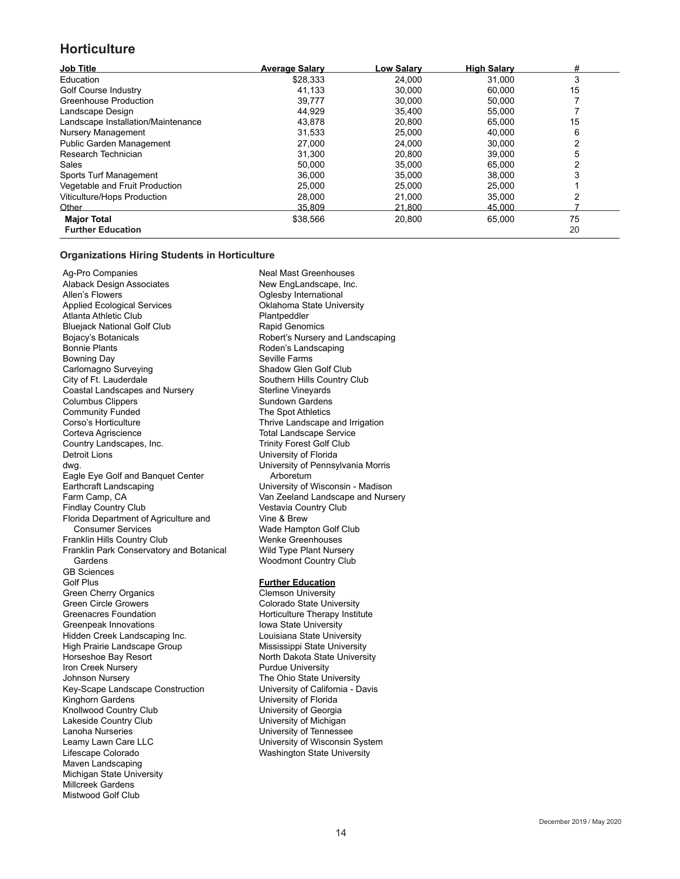## **Horticulture**

| <b>Job Title</b>                   | <b>Average Salary</b> | Low Salary      | <b>High Salary</b> | #  |
|------------------------------------|-----------------------|-----------------|--------------------|----|
| Education                          | \$28.333              | 24,000          | 31.000             |    |
| Golf Course Industry               | 41,133                | 30,000          | 60,000             | 15 |
| Greenhouse Production              | 39,777                | 30.000          | 50,000             |    |
| Landscape Design                   | 44,929                | 35,400          | 55,000             |    |
| Landscape Installation/Maintenance | 43,878                | 20,800          | 65,000             | 15 |
| Nursery Management                 | 31,533                | 25,000          | 40.000             | 6  |
| Public Garden Management           | 27,000                | 24,000          | 30,000             |    |
| Research Technician                | 31,300                | 20,800          | 39,000             | 5  |
| Sales                              | 50,000                | 35,000          | 65,000             |    |
| Sports Turf Management             | 36,000                | 35,000          | 38,000             |    |
| Vegetable and Fruit Production     | 25,000                | 25,000          | 25,000             |    |
| Viticulture/Hops Production        | 28,000                | 21,000          | 35,000             |    |
| Other                              | 35.809                | <u> 21.800 </u> | 45.000             |    |
| <b>Major Total</b>                 | \$38,566              | 20,800          | 65,000             | 75 |
| <b>Further Education</b>           |                       |                 |                    | 20 |

### **Organizations Hiring Students in Horticulture**

Ag-Pro Companies Alaback Design Associates Allen's Flowers Applied Ecological Services Atlanta Athletic Club Bluejack National Golf Club Bojacy's Botanicals Bonnie Plants Bowning Day Carlomagno Surveying City of Ft. Lauderdale Coastal Landscapes and Nursery Columbus Clippers Community Funded Corso's Horticulture Corteva Agriscience Country Landscapes, Inc. Detroit Lions dwg. Eagle Eye Golf and Banquet Center Earthcraft Landscaping Farm Camp, CA Findlay Country Club Florida Department of Agriculture and Consumer Services Franklin Hills Country Club Franklin Park Conservatory and Botanical Gardens GB Sciences Golf Plus Green Cherry Organics Green Circle Growers Greenacres Foundation Greenpeak Innovations Hidden Creek Landscaping Inc. High Prairie Landscape Group Horseshoe Bay Resort Iron Creek Nursery Johnson Nursery Key-Scape Landscape Construction Kinghorn Gardens Knollwood Country Club Lakeside Country Club Lanoha Nurseries Leamy Lawn Care LLC Lifescape Colorado Maven Landscaping Michigan State University Millcreek Gardens Mistwood Golf Club

Neal Mast Greenhouses New EngLandscape, Inc. Oglesby International Oklahoma State University Plantpeddler Rapid Genomics Robert's Nursery and Landscaping Roden's Landscaping Seville Farms Shadow Glen Golf Club Southern Hills Country Club Sterline Vineyards Sundown Gardens The Spot Athletics Thrive Landscape and Irrigation Total Landscape Service Trinity Forest Golf Club University of Florida University of Pennsylvania Morris Arboretum University of Wisconsin - Madison Van Zeeland Landscape and Nursery Vestavia Country Club Vine & Brew Wade Hampton Golf Club Wenke Greenhouses Wild Type Plant Nursery Woodmont Country Club

#### **Further Education**

Clemson University Colorado State University Horticulture Therapy Institute Iowa State University Louisiana State University Mississippi State University North Dakota State University Purdue University The Ohio State University University of California - Davis University of Florida University of Georgia University of Michigan University of Tennessee University of Wisconsin System Washington State University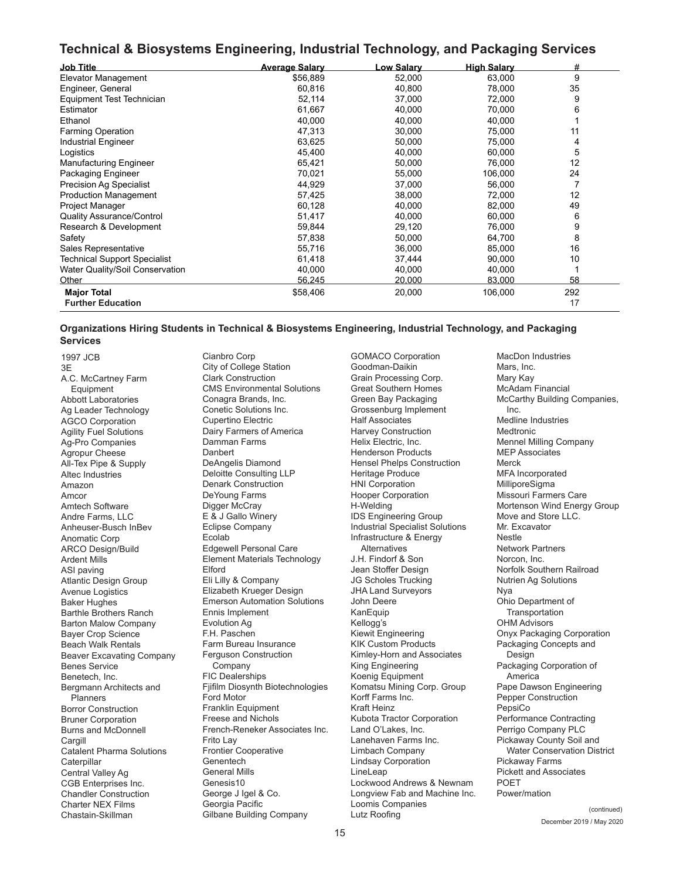## **Technical & Biosystems Engineering, Industrial Technology, and Packaging Services**

| <b>Job Title</b>                    | <b>Average Salary</b> | <u>Low Salary</u> | <b>High Salary</b> | #   |
|-------------------------------------|-----------------------|-------------------|--------------------|-----|
| Elevator Management                 | \$56,889              | 52,000            | 63,000             | 9   |
| Engineer, General                   | 60,816                | 40,800            | 78,000             | 35  |
| Equipment Test Technician           | 52,114                | 37,000            | 72,000             | 9   |
| Estimator                           | 61,667                | 40,000            | 70,000             | 6   |
| Ethanol                             | 40,000                | 40,000            | 40,000             |     |
| <b>Farming Operation</b>            | 47,313                | 30,000            | 75,000             | 11  |
| <b>Industrial Engineer</b>          | 63,625                | 50,000            | 75,000             | 4   |
| Logistics                           | 45,400                | 40,000            | 60,000             | 5   |
| <b>Manufacturing Engineer</b>       | 65,421                | 50,000            | 76,000             | 12  |
| Packaging Engineer                  | 70,021                | 55,000            | 106,000            | 24  |
| <b>Precision Ag Specialist</b>      | 44,929                | 37,000            | 56,000             | 7   |
| <b>Production Management</b>        | 57,425                | 38,000            | 72,000             | 12  |
| Project Manager                     | 60,128                | 40,000            | 82,000             | 49  |
| <b>Quality Assurance/Control</b>    | 51,417                | 40,000            | 60,000             | 6   |
| Research & Development              | 59,844                | 29,120            | 76,000             | 9   |
| Safety                              | 57,838                | 50,000            | 64,700             | 8   |
| Sales Representative                | 55,716                | 36,000            | 85,000             | 16  |
| <b>Technical Support Specialist</b> | 61,418                | 37,444            | 90,000             | 10  |
| Water Quality/Soil Conservation     | 40,000                | 40,000            | 40,000             |     |
| Other                               | 56,245                | 20,000            | 83,000             | 58  |
| <b>Major Total</b>                  | \$58,406              | 20,000            | 106,000            | 292 |
| <b>Further Education</b>            |                       |                   |                    | 17  |

### **Organizations Hiring Students in Technical & Biosystems Engineering, Industrial Technology, and Packaging Services**

Chastain-Skillman (continued)<br>Chastain-Skillman Gilbane Building Company Lutz Roofing (continued) 1997 JCB 3E A.C. McCartney Farm **Equipment** Abbott Laboratories Ag Leader Technology AGCO Corporation Agility Fuel Solutions Ag-Pro Companies Agropur Cheese All-Tex Pipe & Supply Altec Industries Amazon Amcor Amtech Software Andre Farms, LLC Anheuser-Busch InBev Anomatic Corp ARCO Design/Build Ardent Mills ASI paving Atlantic Design Group Avenue Logistics Baker Hughes Barthle Brothers Ranch Barton Malow Company Bayer Crop Science Beach Walk Rentals Beaver Excavating Company Benes Service Benetech, Inc. Bergmann Architects and **Planners** Borror Construction Bruner Corporation Burns and McDonnell Cargill Catalent Pharma Solutions **Caterpillar** Central Valley Ag CGB Enterprises Inc. Chandler Construction Charter NEX Films

Cianbro Corp City of College Station Clark Construction CMS Environmental Solutions Conagra Brands, Inc. Conetic Solutions Inc. Cupertino Electric Dairy Farmers of America Damman Farms **Danbert** DeAngelis Diamond Deloitte Consulting LLP Denark Construction DeYoung Farms Digger McCray E & J Gallo Winery Eclipse Company Ecolab Edgewell Personal Care Element Materials Technology Elford Eli Lilly & Company Elizabeth Krueger Design Emerson Automation Solutions Ennis Implement Evolution Ag F.H. Paschen Farm Bureau Insurance Ferguson Construction Company FIC Dealerships Fjifilm Diosynth Biotechnologies Ford Motor Franklin Equipment Freese and Nichols French-Reneker Associates Inc. Frito Lay Frontier Cooperative Genentech General Mills Genesis10 George J Igel & Co. Georgia Pacific

GOMACO Corporation Goodman-Daikin Grain Processing Corp. Great Southern Homes Green Bay Packaging Grossenburg Implement Half Associates Harvey Construction Helix Electric, Inc. Henderson Products Hensel Phelps Construction Heritage Produce HNI Corporation Hooper Corporation H-Welding IDS Engineering Group Industrial Specialist Solutions Infrastructure & Energy Alternatives J.H. Findorf & Son Jean Stoffer Design JG Scholes Trucking JHA Land Surveyors John Deere KanEquip Kellogg's Kiewit Engineering KIK Custom Products Kimley-Horn and Associates King Engineering Koenig Equipment Komatsu Mining Corp. Group Korff Farms Inc. Kraft Heinz Kubota Tractor Corporation Land O'Lakes, Inc. Lanehaven Farms Inc. Limbach Company Lindsay Corporation LineLeap Lockwood Andrews & Newnam Longview Fab and Machine Inc. Loomis Companies<br>Lutz Roofing

MacDon Industries Mars, Inc. Mary Kay McAdam Financial McCarthy Building Companies, Inc. Medline Industries Medtronic Mennel Milling Company MEP Associates Merck MFA Incorporated MilliporeSigma Missouri Farmers Care Mortenson Wind Energy Group Move and Store LLC. Mr. Excavator Nestle Network Partners Norcon, Inc. Norfolk Southern Railroad Nutrien Ag Solutions Nya Ohio Department of **Transportation** OHM Advisors Onyx Packaging Corporation Packaging Concepts and Design Packaging Corporation of America Pape Dawson Engineering Pepper Construction PepsiCo Performance Contracting Perrigo Company PLC Pickaway County Soil and Water Conservation District Pickaway Farms Pickett and Associates POET Power/mation

(continued)<br>December 2019 / May 2020